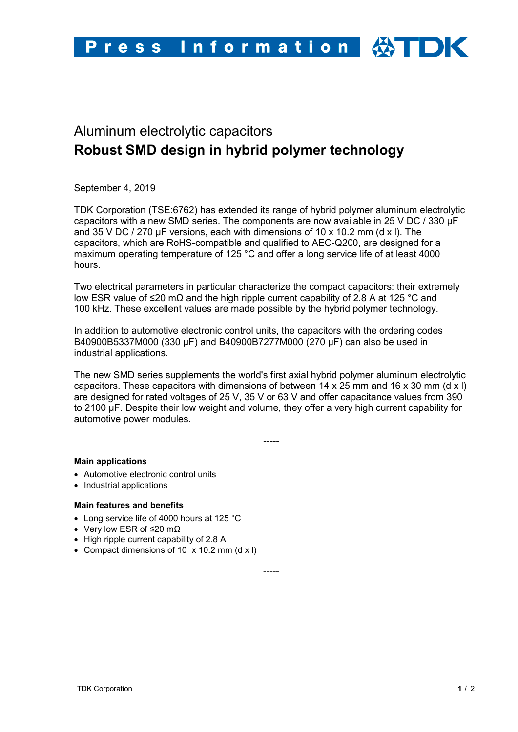

# Aluminum electrolytic capacitors **Robust SMD design in hybrid polymer technology**

September 4, 2019

TDK Corporation (TSE:6762) has extended its range of hybrid polymer aluminum electrolytic capacitors with a new SMD series. The components are now available in 25 V DC / 330 µF and 35 V DC / 270 µF versions, each with dimensions of 10 x 10.2 mm (d x l). The capacitors, which are RoHS-compatible and qualified to AEC-Q200, are designed for a maximum operating temperature of 125 °C and offer a long service life of at least 4000 hours.

Two electrical parameters in particular characterize the compact capacitors: their extremely low ESR value of ≤20 mΩ and the high ripple current capability of 2.8 A at 125 °C and 100 kHz. These excellent values are made possible by the hybrid polymer technology.

In addition to automotive electronic control units, the capacitors with the ordering codes B40900B5337M000 (330 µF) and B40900B7277M000 (270 µF) can also be used in industrial applications.

The new SMD series supplements the world's first axial hybrid polymer aluminum electrolytic capacitors. These capacitors with dimensions of between 14 x 25 mm and 16 x 30 mm (d x l) are designed for rated voltages of 25 V, 35 V or 63 V and offer capacitance values from 390 to 2100 µF. Despite their low weight and volume, they offer a very high current capability for automotive power modules.

-----

## **Main applications**

- Automotive electronic control units
- Industrial applications

## **Main features and benefits**

- Long service life of 4000 hours at 125 °C
- Very low ESR of ≤20 mΩ
- High ripple current capability of 2.8 A
- Compact dimensions of 10 x 10.2 mm (d x l)

-----